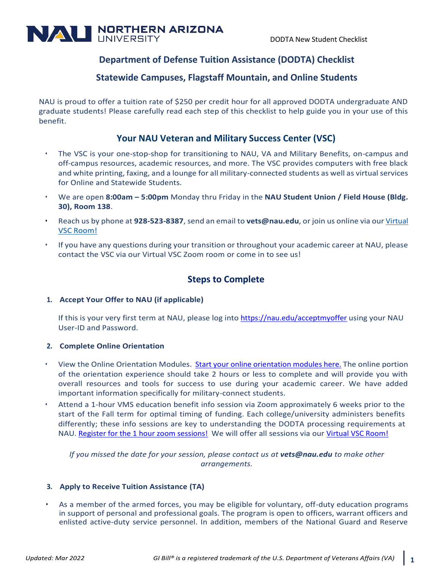

# **Department of Defense Tuition Assistance (DODTA) Checklist**

## **Statewide Campuses, Flagstaff Mountain, and Online Students**

NAU is proud to offer a tuition rate of \$250 per credit hour for all approved DODTA undergraduate AND graduate students! Please carefully read each step of this checklist to help guide you in your use of this benefit.

## **Your NAU Veteran and Military Success Center (VSC)**

- The VSC is your one-stop-shop for transitioning to NAU, VA and Military Benefits, on-campus and off-campus resources, academic resources, and more. The VSC provides computers with free black and white printing, faxing, and a lounge for all military-connected students as well as virtual services for Online and Statewide Students.
- We are open **8:00am – 5:00pm** Monday thru Friday in the **NAU Student Union / Field House (Bldg. 30), Room 138**.
- Reach us by phone at **928-523-8387**, send an email to **[vets@nau.edu](mailto:vets@nau.edu)**, or join us online via our [Virtual](https://nau.zoom.us/my/virtualvsc?pwd=YzNmU083bUFraWlJK2lETTdJUS9odz09) VSC [Room!](https://nau.zoom.us/my/virtualvsc?pwd=YzNmU083bUFraWlJK2lETTdJUS9odz09)
- If you have any questions during your transition or throughout your academic career at NAU, please contact the VSC via our Virtual VSC Zoom room or come in to see us!

# **Steps to Complete**

### **1. Accept Your Offer to NAU (if applicable)**

If this is your very first term at NAU, please log into <https://nau.edu/acceptmyoffer> using your NAU User-ID and Password.

### **2. Complete Online Orientation**

- View the Online Orientation Modules. [Start](https://launch.comevo.com/nau/1985/-/pub?reload=1) [your online orientation modules here.](https://launch.comevo.com/nau/1985/-/pub?reload=1) The online portion of the orientation experience should take 2 hours or less to complete and will provide you with overall resources and tools for success to use during your academic career. We have added important information specifically for military-connect students.
- Attend a 1-hour VMS education benefit info session via Zoom approximately 6 weeks prior to the start of the Fall term for optimal timing of funding. Each college/university administers benefits differently; these info sessions are key to understanding the DODTA processing requirements at NAU. [Register for the 1 hour zoom sessions!](https://nau.co1.qualtrics.com/jfe/form/SV_6QN0L9ujM9BTSOW) We will offer all sessions via our [Virtual VSC Room!](https://nau.zoom.us/my/virtualvsc?pwd=YzNmU083bUFraWlJK2lETTdJUS9odz09)

*If you missed the date for your session, please contact us at vets@nau.edu to make other arrangements.*

### **3. Apply to Receive Tuition Assistance (TA)**

• As a member of the armed forces, you may be eligible for voluntary, off-duty education programs in support of personal and professional goals. The program is open to officers, warrant officers and enlisted active-duty service personnel. In addition, members of the National Guard and Reserve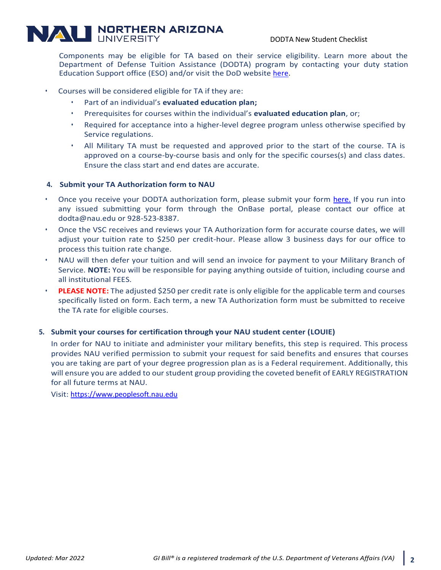# **NALI NORTHERN ARIZONA**

Components may be eligible for TA based on their service eligibility. Learn more about the Department of Defense Tuition Assistance (DODTA) program by contacting your duty station Education Support office (ESO) and/or visit the DoD website [here.](https://www.dantes.doded.mil/FinancialAid/MilitaryTuitionAssistance.html)

- Courses will be considered eligible for TA if they are:
	- Part of an individual's **evaluated education plan;**
	- Prerequisites for courses within the individual's **evaluated education plan**, or;
	- Required for acceptance into a higher-level degree program unless otherwise specified by Service regulations.
	- All Military TA must be requested and approved prior to the start of the course. TA is approved on a course-by-course basis and only for the specific courses(s) and class dates. Ensure the class start and end dates are accurate.

#### **4. Submit your TA Authorization form to NAU**

- Once you receive your DODTA authorization form, please submit your form [here.](https://cas.nau.edu/cas/login?service=https%3a%2f%2fonbase.nau.edu%2fappnet%2fUnityForm.aspx%3fd1%3dARllKzPSil5rfLijNHGFEXndGxuZio0jJSah0JEmhku30i%252fwZ5Ju6GLFR3wnxKtsVCEzXV5Z8Hx1PzMbUMyZ%252fEuTbYISbhUSE%252begD6IKCljx0Jw%252fffTL92jkmWYgxbF75J4wfhg6wMA2hEZJOelJf7X7swcj0Hxo59w9F57nZfzbglLLaPY404c5gEuoOCoJrIjsD2ZI1HI2f%252bccUaJg5lnB%252fK%252bLYmPUNr91XsL7N%252fIl) If you run into any issued submitting your form through the OnBase portal, please contact our office at dodta@nau.edu or 928-523-8387.
- Once the VSC receives and reviews your TA Authorization form for accurate course dates, we will adjust your tuition rate to \$250 per credit-hour. Please allow 3 business days for our office to process this tuition rate change.
- NAU will then defer your tuition and will send an invoice for payment to your Military Branch of Service. **NOTE:** You will be responsible for paying anything outside of tuition, including course and all institutional FEES.
- **PLEASE NOTE:** The adjusted \$250 per credit rate is only eligible for the applicable term and courses specifically listed on form. Each term, a new TA Authorization form must be submitted to receive the TA rate for eligible courses.

#### **5. Submit your courses for certification through your NAU student center (LOUIE)**

In order for NAU to initiate and administer your military benefits, this step is required. This process provides NAU verified permission to submit your request for said benefits and ensures that courses you are taking are part of your degree progression plan as is a Federal requirement. Additionally, this will ensure you are added to our student group providing the coveted benefit of EARLY REGISTRATION for all future terms at NAU.

Visit: [https://www.peoplesoft.nau.edu](https://www.peoplesoft.nau.edu/)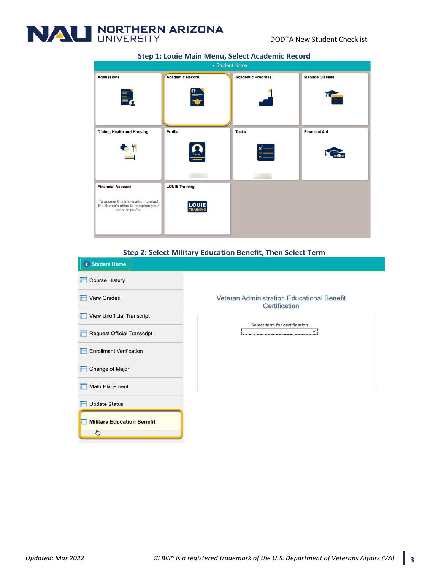

| ▼ Student Home                                                                                                              |                                                |                                  |                       |
|-----------------------------------------------------------------------------------------------------------------------------|------------------------------------------------|----------------------------------|-----------------------|
| <b>Admissions</b>                                                                                                           | <b>Academic Record</b><br>$\frac{1}{\sqrt{2}}$ | <b>Academic Progress</b>         | <b>Manage Classes</b> |
| Dining, Health and Housing<br><b>EC 11</b>                                                                                  | Profile<br>$\ddot{\bullet}$                    | <b>Tasks</b><br>$\circ$ $\qquad$ | <b>Financial Aid</b>  |
| <b>Financial Account</b><br>To access this information, contact<br>the Bursar's office to complete your<br>account profile. | <b>LOUIE Training</b><br><b>LOUIE</b>          |                                  |                       |

#### **Step 1: Louie Main Menu, Select Academic Record**

#### **Step 2: Select Military Education Benefit, Then Select Term**

| K Student Home                           |                                                             |  |
|------------------------------------------|-------------------------------------------------------------|--|
| <b>Course History</b><br>in 1            |                                                             |  |
| View Grades                              | Veteran Administration Educational Benefit<br>Certification |  |
| View Unofficial Transcript               | Select term for certification                               |  |
| <b>Request Official Transcript</b><br>自己 |                                                             |  |
| <b>Enrollment Verification</b>           |                                                             |  |
| Change of Major                          |                                                             |  |
| <b>Math Placement</b><br>計               |                                                             |  |
| <b>Update Status</b>                     |                                                             |  |
| <b>Military Education Benefit</b>        |                                                             |  |
| G                                        |                                                             |  |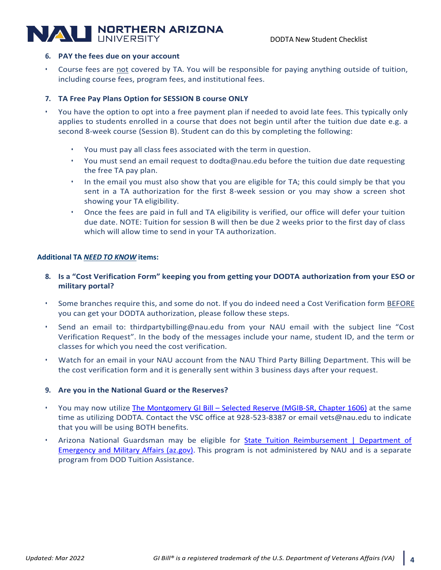# **VALI NORTHERN ARIZONA**

#### **6. PAY the fees due on your account**

Course fees are not covered by TA. You will be responsible for paying anything outside of tuition, including course fees, program fees, and institutional fees.

### **7. TA Free Pay Plans Option for SESSION B course ONLY**

- You have the option to opt into a free payment plan if needed to avoid late fees. This typically only applies to students enrolled in a course that does not begin until after the tuition due date e.g. a second 8-week course (Session B). Student can do this by completing the following:
	- You must pay all class fees associated with the term in question.
	- You must send an email request to dodta@nau.edu before the tuition due date requesting the free TA pay plan.
	- In the email you must also show that you are eligible for TA; this could simply be that you sent in a TA authorization for the first 8-week session or you may show a screen shot showing your TA eligibility.
	- Once the fees are paid in full and TA eligibility is verified, our office will defer your tuition due date. NOTE: Tuition for session B will then be due 2 weeks prior to the first day of class which will allow time to send in your TA authorization.

### **Additional TA** *NEED TO KNOW* **items:**

- **8. Is a "Cost Verification Form" keeping you from getting your DODTA authorization from your ESO or military portal?**
- Some branches require this, and some do not. If you do indeed need a Cost Verification form BEFORE you can get your DODTA authorization, please follow these steps.
- Send an email to: [thirdpartybilling@nau.edu](mailto:thirdpartybilling@nau.edu) from your NAU email with the subject line "Cost Verification Request". In the body of the messages include your name, student ID, and the term or classes for which you need the cost verification.
- Watch for an email in your NAU account from the NAU Third Party Billing Department. This will be the cost verification form and it is generally sent within 3 business days after your request.

### **9. Are you in the National Guard or the Reserves?**

- You may now utilize The Montgomery GI Bill [Selected Reserve \(MGIB-SR, Chapter 1606\)](https://www.benefits.va.gov/BENEFITS/factsheets/education/CH1606.pdf) at the same time as utilizing DODTA. Contact the VSC office at 928-523-8387 or email vets@nau.edu to indicate that you will be using BOTH benefits.
- Arizona National Guardsman may be eligible for **State Tuition Reimbursement** | Department of [Emergency and Military Affairs \(az.gov\).](https://dema.az.gov/state-tuition-reimbursement?msclkid=5d959de1ad5011eca888b74a681b8c89) This program is not administered by NAU and is a separate program from DOD Tuition Assistance.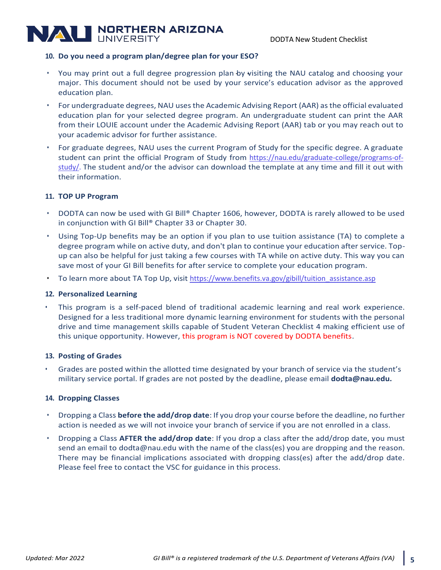# **NALI NORTHERN ARIZONA**

### **10. Do you need a program plan/degree plan for your ESO?**

- You may print out a full degree progression plan by visiting the NAU catalog and choosing your major. This document should not be used by your service's education advisor as the approved education plan.
- For undergraduate degrees, NAU uses the Academic Advising Report (AAR) as the official evaluated education plan for your selected degree program. An undergraduate student can print the AAR from their LOUIE account under the Academic Advising Report (AAR) tab or you may reach out to your academic advisor for further assistance.
- For graduate degrees, NAU uses the current Program of Study for the specific degree. A graduate student can print the official Program of Study from [https://nau.edu/graduate-college/programs-of](https://nau.edu/graduate-college/programs-of-study/)[study/.](https://nau.edu/graduate-college/programs-of-study/) The student and/or the advisor can download the template at any time and fill it out with their information.

### **11. TOP UP Program**

- DODTA can now be used with GI Bill® Chapter 1606, however, DODTA is rarely allowed to be used in conjunction with GI Bill® Chapter 33 or Chapter 30.
- Using Top-Up benefits may be an option if you plan to use tuition assistance (TA) to complete a degree program while on active duty, and don't plan to continue your education after service. Topup can also be helpful for just taking a few courses with TA while on active duty. This way you can save most of your GI Bill benefits for after service to complete your education program.
- To learn more about TA Top Up, visit [https://www.benefits.va.gov/gibill/tuition\\_assistance.asp](https://www.benefits.va.gov/gibill/tuition_assistance.asp)

### **12. Personalized Learning**

• This program is a self-paced blend of traditional academic learning and real work experience. Designed for a less traditional more dynamic learning environment for students with the personal drive and time management skills capable of Student Veteran Checklist 4 making efficient use of this unique opportunity. However, this program is NOT covered by DODTA benefits.

### **13. Posting of Grades**

• Grades are posted within the allotted time designated by your branch of service via the student's military service portal. If grades are not posted by the deadline, please email **dodta@nau.edu.**

### **14. Dropping Classes**

- Dropping a Class **before the add/drop date**: If you drop your course before the deadline, no further action is needed as we will not invoice your branch of service if you are not enrolled in a class.
- Dropping a Class **AFTER the add/drop date**: If you drop a class after the add/drop date, you must send an email to [dodta@nau.edu w](mailto:%20dodta@nau.edu)ith the name of the class(es) you are dropping and the reason. There may be financial implications associated with dropping class(es) after the add/drop date. Please feel free to contact the VSC for guidance in this process.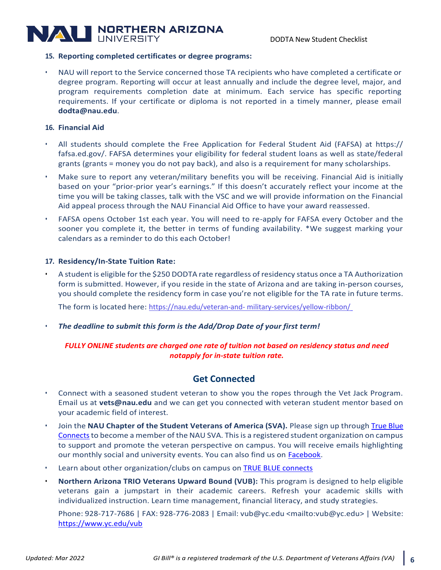# **NALI NORTHERN ARIZONA**

### **15. Reporting completed certificates or degree programs:**

• NAU will report to the Service concerned those TA recipients who have completed a certificate or degree program. Reporting will occur at least annually and include the degree level, major, and program requirements completion date at minimum. Each service has specific reporting requirements. If your certificate or diploma is not reported in a timely manner, please email **[dodta@nau.edu](mailto:dodta@nau.edu)**.

### **16. Financial Aid**

- All students should complete the Free Application for Federal Student Aid (FAFSA) at https:// fafsa.ed.gov/. FAFSA determines your eligibility for federal student loans as well as state/federal grants (grants = money you do not pay back), and also is a requirement for many scholarships.
- Make sure to report any veteran/military benefits you will be receiving. Financial Aid is initially based on your "prior-prior year's earnings." If this doesn't accurately reflect your income at the time you will be taking classes, talk with the VSC and we will provide information on the Financial Aid appeal process through the NAU Financial Aid Office to have your award reassessed.
- FAFSA opens October 1st each year. You will need to re-apply for FAFSA every October and the sooner you complete it, the better in terms of funding availability. \*We suggest marking your calendars as a reminder to do this each October!

## **17. Residency/In-State Tuition Rate:**

• A student is eligible for the \$250 DODTA rate regardless of residency status once a TA Authorization form is submitted. However, if you reside in the state of Arizona and are taking in-person courses, you should complete the residency form in case you're not eligible for the TA rate in future terms.

The form is located here: [https://nau.edu/veteran-and-](https://nau.edu/veteran-and-%20military-services/yellow-ribbon/) [military-services/yellow-ribbon/](https://nau.edu/veteran-and-%20military-services/yellow-ribbon/)

• *The deadline to submit this form is the Add/Drop Date of your first term!*

## *FULLY ONLINE students are charged one rate of tuition not based on residency status and need notapply for in-state tuition rate.*

# **Get Connected**

- Connect with a seasoned student veteran to show you the ropes through the Vet Jack Program. Email us at **[vets@nau.edu](mailto:vets@nau.edu)** and we can get you connected with veteran student mentor based on your academic field of interest.
- Join the NAU Chapter of the Student Veterans of America (SVA). Please sign up through **True Blue** Connects to become a member of the NAU SVA. This is a registered student organization on campus to support and promote the veteran perspective on campus. You will receive emails highlighting our monthly social and university events. You can also find us on [Facebook.](https://m.facebook.com/groups/nau.sva)
- Learn about other organization/clubs on campus on TRUE BLUE [connects](https://nau.campuslabs.com/engage/)
- **Northern Arizona TRIO Veterans Upward Bound (VUB):** This program is designed to help eligible veterans gain a jumpstart in their academic careers. Refresh your academic skills with individualized instruction. Learn time management, financial literacy, and study strategies.

Phone: 928-717-7686 | FAX: 928-776-2083 | Email: [vub@yc.edu <mailto:vub@yc.edu>](mailto:vub@yc.edu) | Website: <https://www.yc.edu/vub>